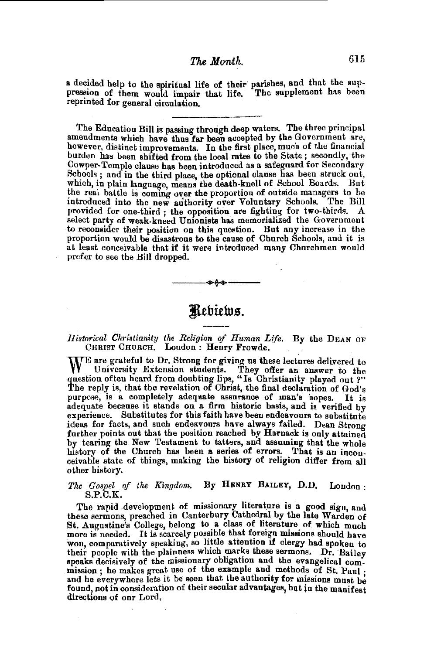## *The Month.* 615

a decided help to the spiritual life of their parishes, and that the sup-<br>pression of them would impair that life. The supplement has been pression of them would impair that life. reprinted for general circulation.

The Education Bill is passing through deep waters. The three principal amendments which have thus far been accepted by the Government are, however, distinct improvements. In the first place, much of the financial burden has been shifted from the local rates to the State ; secondly, the Cowper-Temple clause has been introduced as a safeguard for Secondary Schools; and in the third place, the optional clause has been struck out, which, in plain language, means the death-knell of School Boards. But the real battle is coming over the proportion of outside managers to be introduced into the new authority over Voluntary Schools. The Bill provided for one-third ; the opposition are fighting for two-thirds. A select party of weak-kneed Unionists has memorialized the Government to reconsider their position on this question. But any increase in the proportion would be disastrous to the cause of Church Schools, and it is at least conceivable that if it were introduced many Churchmen would prefer to see the Bill dropped.

# $\mathbb{R}$ ebiews.

-<del>-------</del>

#### *Historical Christianity the Religion of Human Life.* By the DEAN OF CHRIST CHURCH. London : Henry Frowde.

WE are grateful to Dr. Strong for giving us these lectures delivered to University Extension students Theory University Extension students. They offer an answer to the question often heard from doubting lips, "Is Christianity played out ?" The reply is, that the revelation of Christ, the final declaration of God's purpose, is a completely adequate assurance of man's hopes. It is adequate because it stands on a firm historic basis, and is verified by experience. Substitutes for this faith have been endeavours to substitute ideas for facts, and such endeavours have always failed. Dean Strong further points out that the position reached by Harnack is only attained by tearing the New Testament to tatters, and assuming that the whole history of the Church has been a series of errors. That is an inconceivable state of things, making the history of religion differ from all other history.

### *The Gospel of the Kingdom.* By HENRY BAILEY, D.D. London : S.P.C.K.

The rapid development of missionary literature is a good sign, and these sermons, preached in Canterbury Cathedral by the late Warden of St. Augustine's College, belong to a class of literature of which much more is needed. It is scarcely possible that foreign missions should have<br>won, comparatively speaking, so little attention if clergy had spoken to their people with the plainness which marks these sermons. Dr. Bailey<br>speaks decisively of the missionary obligation and the evangelical commission; he makes great use of the example and methods of St. Paul;<br>and he everywhere lets it be seen that the authority for missions must be<br>found, not in consideration of their secular advantages, but in the manifest directions of onr Lord,